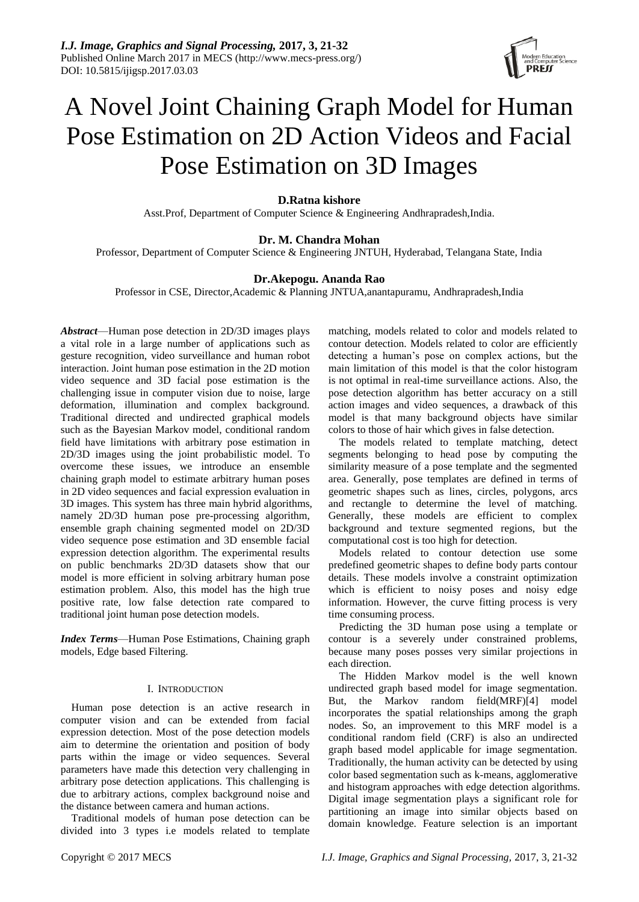

# A Novel Joint Chaining Graph Model for Human Pose Estimation on 2D Action Videos and Facial Pose Estimation on 3D Images

# **D.Ratna kishore**

Asst.Prof, Department of Computer Science & Engineering Andhrapradesh,India.

# **Dr. M. Chandra Mohan**

Professor, Department of Computer Science & Engineering JNTUH, Hyderabad, Telangana State, India

# **Dr.Akepogu. Ananda Rao**

Professor in CSE, Director,Academic & Planning JNTUA,anantapuramu, Andhrapradesh,India

*Abstract*—Human pose detection in 2D/3D images plays a vital role in a large number of applications such as gesture recognition, video surveillance and human robot interaction. Joint human pose estimation in the 2D motion video sequence and 3D facial pose estimation is the challenging issue in computer vision due to noise, large deformation, illumination and complex background. Traditional directed and undirected graphical models such as the Bayesian Markov model, conditional random field have limitations with arbitrary pose estimation in 2D/3D images using the joint probabilistic model. To overcome these issues, we introduce an ensemble chaining graph model to estimate arbitrary human poses in 2D video sequences and facial expression evaluation in 3D images. This system has three main hybrid algorithms, namely 2D/3D human pose pre-processing algorithm, ensemble graph chaining segmented model on 2D/3D video sequence pose estimation and 3D ensemble facial expression detection algorithm. The experimental results on public benchmarks 2D/3D datasets show that our model is more efficient in solving arbitrary human pose estimation problem. Also, this model has the high true positive rate, low false detection rate compared to traditional joint human pose detection models.

*Index Terms*—Human Pose Estimations, Chaining graph models, Edge based Filtering.

# I. INTRODUCTION

Human pose detection is an active research in computer vision and can be extended from facial expression detection. Most of the pose detection models aim to determine the orientation and position of body parts within the image or video sequences. Several parameters have made this detection very challenging in arbitrary pose detection applications. This challenging is due to arbitrary actions, complex background noise and the distance between camera and human actions.

Traditional models of human pose detection can be divided into 3 types i.e models related to template matching, models related to color and models related to contour detection. Models related to color are efficiently detecting a human's pose on complex actions, but the main limitation of this model is that the color histogram is not optimal in real-time surveillance actions. Also, the pose detection algorithm has better accuracy on a still action images and video sequences, a drawback of this model is that many background objects have similar colors to those of hair which gives in false detection.

The models related to template matching, detect segments belonging to head pose by computing the similarity measure of a pose template and the segmented area. Generally, pose templates are defined in terms of geometric shapes such as lines, circles, polygons, arcs and rectangle to determine the level of matching. Generally, these models are efficient to complex background and texture segmented regions, but the computational cost is too high for detection.

Models related to contour detection use some predefined geometric shapes to define body parts contour details. These models involve a constraint optimization which is efficient to noisy poses and noisy edge information. However, the curve fitting process is very time consuming process.

Predicting the 3D human pose using a template or contour is a severely under constrained problems, because many poses posses very similar projections in each direction.

The Hidden Markov model is the well known undirected graph based model for image segmentation. But, the Markov random field(MRF)[4] model incorporates the spatial relationships among the graph nodes. So, an improvement to this MRF model is a conditional random field (CRF) is also an undirected graph based model applicable for image segmentation. Traditionally, the human activity can be detected by using color based segmentation such as k-means, agglomerative and histogram approaches with edge detection algorithms. Digital image segmentation plays a significant role for partitioning an image into similar objects based on domain knowledge. Feature selection is an important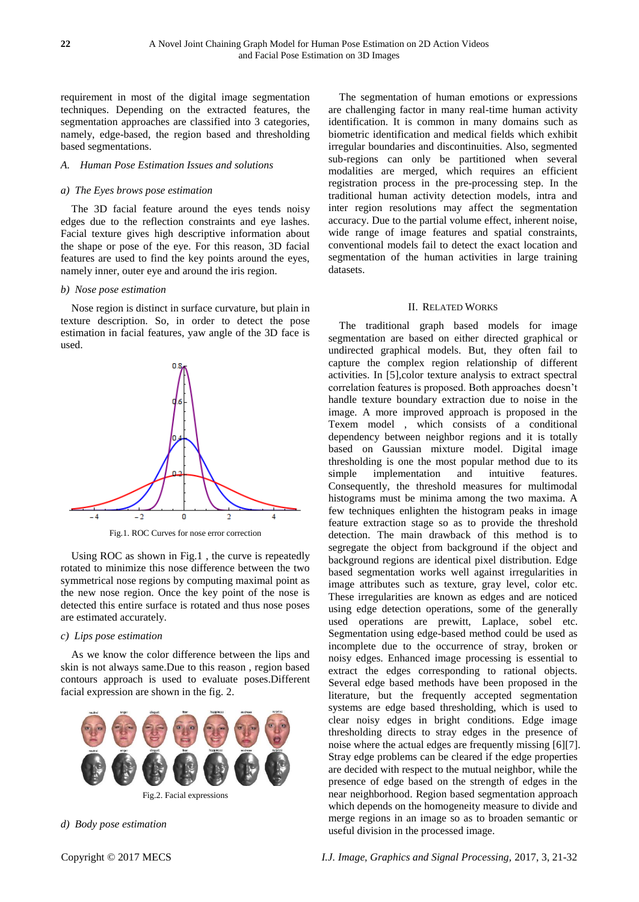requirement in most of the digital image segmentation techniques. Depending on the extracted features, the segmentation approaches are classified into 3 categories, namely, edge-based, the region based and thresholding based segmentations.

#### *A. Human Pose Estimation Issues and solutions*

# *a) The Eyes brows pose estimation*

The 3D facial feature around the eyes tends noisy edges due to the reflection constraints and eye lashes. Facial texture gives high descriptive information about the shape or pose of the eye. For this reason, 3D facial features are used to find the key points around the eyes, namely inner, outer eye and around the iris region.

#### *b) Nose pose estimation*

Nose region is distinct in surface curvature, but plain in texture description. So, in order to detect the pose estimation in facial features, yaw angle of the 3D face is used.



Fig.1. ROC Curves for nose error correction

Using ROC as shown in Fig.1 , the curve is repeatedly rotated to minimize this nose difference between the two symmetrical nose regions by computing maximal point as the new nose region. Once the key point of the nose is detected this entire surface is rotated and thus nose poses are estimated accurately.

#### *c) Lips pose estimation*

As we know the color difference between the lips and skin is not always same.Due to this reason , region based contours approach is used to evaluate poses.Different facial expression are shown in the fig. 2.



*d) Body pose estimation*

The segmentation of human emotions or expressions are challenging factor in many real-time human activity identification. It is common in many domains such as biometric identification and medical fields which exhibit irregular boundaries and discontinuities. Also, segmented sub-regions can only be partitioned when several modalities are merged, which requires an efficient registration process in the pre-processing step. In the traditional human activity detection models, intra and inter region resolutions may affect the segmentation accuracy. Due to the partial volume effect, inherent noise, wide range of image features and spatial constraints, conventional models fail to detect the exact location and segmentation of the human activities in large training datasets.

#### II. RELATED WORKS

The traditional graph based models for image segmentation are based on either directed graphical or undirected graphical models. But, they often fail to capture the complex region relationship of different activities. In [5],color texture analysis to extract spectral correlation features is proposed. Both approaches doesn't handle texture boundary extraction due to noise in the image. A more improved approach is proposed in the Texem model , which consists of a conditional dependency between neighbor regions and it is totally based on Gaussian mixture model. Digital image thresholding is one the most popular method due to its simple implementation and intuitive features. Consequently, the threshold measures for multimodal histograms must be minima among the two maxima. A few techniques enlighten the histogram peaks in image feature extraction stage so as to provide the threshold detection. The main drawback of this method is to segregate the object from background if the object and background regions are identical pixel distribution. Edge based segmentation works well against irregularities in image attributes such as texture, gray level, color etc. These irregularities are known as edges and are noticed using edge detection operations, some of the generally used operations are prewitt, Laplace, sobel etc. Segmentation using edge-based method could be used as incomplete due to the occurrence of stray, broken or noisy edges. Enhanced image processing is essential to extract the edges corresponding to rational objects. Several edge based methods have been proposed in the literature, but the frequently accepted segmentation systems are edge based thresholding, which is used to clear noisy edges in bright conditions. Edge image thresholding directs to stray edges in the presence of noise where the actual edges are frequently missing [6][7]. Stray edge problems can be cleared if the edge properties are decided with respect to the mutual neighbor, while the presence of edge based on the strength of edges in the near neighborhood. Region based segmentation approach which depends on the homogeneity measure to divide and merge regions in an image so as to broaden semantic or useful division in the processed image.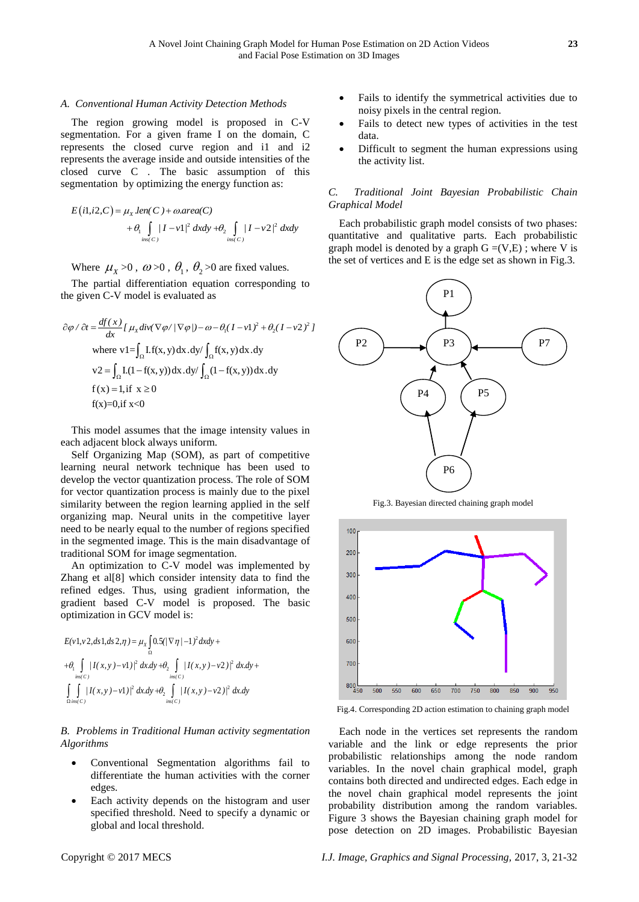#### *A. Conventional Human Activity Detection Methods*

The region growing model is proposed in C-V segmentation. For a given frame I on the domain, C represents the closed curve region and i1 and i2 represents the average inside and outside intensities of the closed curve C . The basic assumption of this segmentation by optimizing the energy function as:

$$
E(i1, i2, C) = \mu_X len(C) + \omega. area(C)
$$
  
+  $\theta_1 \int_{ins(C)} |I - v1|^2 dx dy + \theta_2 \int_{ins(C)} |I - v2|^2 dx dy$ 

Where  $\mu_X > 0$ ,  $\omega > 0$ ,  $\theta_1$ ,  $\theta_2 > 0$  are fixed values.

The partial differentiation equation corresponding to the given C-V model is evaluated as

$$
\partial \varphi / \partial t = \frac{df(x)}{dx} \left[ \mu_x \text{div}(\nabla \varphi / |\nabla \varphi|) - \omega - \theta_1 (I - \nu 1)^2 + \theta_2 (I - \nu 2)^2 \right]
$$
  
where  $\nu 1 = \int_{\Omega} I.f(x, y) dx. dy / \int_{\Omega} f(x, y) dx. dy$   

$$
\nu 2 = \int_{\Omega} I.(1 - f(x, y)) dx. dy / \int_{\Omega} (1 - f(x, y)) dx. dy
$$
  
 $f(x) = 1, \text{if } x \ge 0$   
 $f(x)=0, \text{if } x < 0$ 

This model assumes that the image intensity values in each adjacent block always uniform.

Self Organizing Map (SOM), as part of competitive learning neural network technique has been used to develop the vector quantization process. The role of SOM for vector quantization process is mainly due to the pixel similarity between the region learning applied in the self organizing map. Neural units in the competitive layer need to be nearly equal to the number of regions specified in the segmented image. This is the main disadvantage of traditional SOM for image segmentation.

An optimization to C-V model was implemented by Zhang et al[8] which consider intensity data to find the refined edges. Thus, using gradient information, the gradient based C-V model is proposed. The basic

optimization in GCV model is:  
\n
$$
E(v1, v2, ds1, ds2, \eta) = \mu_X \int_{\Omega} \frac{0.5}{(\sqrt{\pi}/-1)^2} dxdy +
$$
\n
$$
+ \theta_1 \int_{\frac{ln(C)}{ln(C)}} |I(x, y) - v1| \, dt \, dx \, + \theta_2 \int_{\frac{ln(C)}{ln(C)}} |I(x, y) - v2| \, dt \, dx \, + \theta_1 \int_{\frac{ln(C)}{ln(C)}} |I(x, y) - v2| \, dt \, dx \, dy
$$

*B. Problems in Traditional Human activity segmentation Algorithms*

- Conventional Segmentation algorithms fail to differentiate the human activities with the corner edges.
- Each activity depends on the histogram and user specified threshold. Need to specify a dynamic or global and local threshold.
- Fails to identify the symmetrical activities due to noisy pixels in the central region.
- Fails to detect new types of activities in the test data.
- Difficult to segment the human expressions using the activity list.

# *C. Traditional Joint Bayesian Probabilistic Chain Graphical Model*

Each probabilistic graph model consists of two phases: quantitative and qualitative parts. Each probabilistic graph model is denoted by a graph  $G = (V,E)$ ; where V is the set of vertices and E is the edge set as shown in Fig.3.



Fig.3. Bayesian directed chaining graph model



Fig.4. Corresponding 2D action estimation to chaining graph model

Each node in the vertices set represents the random variable and the link or edge represents the prior probabilistic relationships among the node random variables. In the novel chain graphical model, graph contains both directed and undirected edges. Each edge in the novel chain graphical model represents the joint probability distribution among the random variables. Figure 3 shows the Bayesian chaining graph model for pose detection on 2D images. Probabilistic Bayesian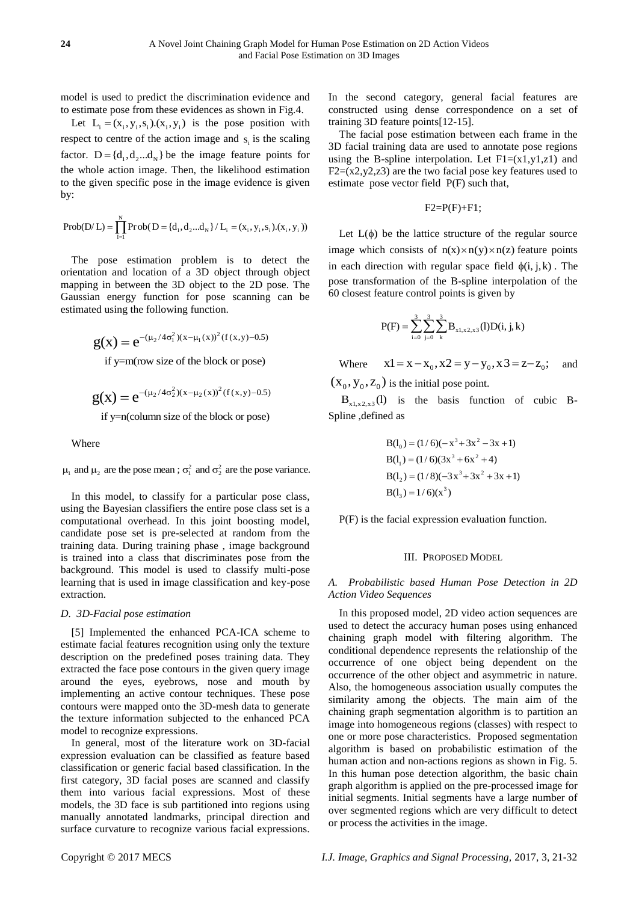model is used to predict the discrimination evidence and to estimate pose from these evidences as shown in Fig.4.

Let  $L_i = (x_i, y_i, s_i) . (x_i, y_i)$  is the pose position with respect to centre of the action image and  $s_i$  is the scaling factor.  $D = \{d_1, d_2...d_N\}$  be the image feature points for the whole action image. Then, the likelihood estimation to the given specific pose in the image evidence is given by:

Prob(D/L) = 
$$
\prod_{i=1}^{N} \text{Prob}(D = \{d_1, d_2...d_N\} / L_i = (x_i, y_i, s_i).(x_i, y_i))
$$

The pose estimation problem is to detect the orientation and location of a 3D object through object mapping in between the 3D object to the 2D pose. The Gaussian energy function for pose scanning can be estimated using the following function.

$$
g(x) = e^{-(\mu_2/4\sigma_1^2)(x-\mu_1(x))^2 (f(x,y)-0.5)}
$$

if y=m(row size of the block or pose)

$$
g(x) = e^{-(\mu_2/4\sigma_2^2)(x-\mu_2(x))^2 (f(x,y)-0.5)}
$$
  
if y=n(column size of the block or pose)

Where

where  $\mu_1$  and  $\mu_2$  are the pose mean ;  $\sigma_1^2$  and  $\sigma_2^2$  are the pose variance.

In this model, to classify for a particular pose class, using the Bayesian classifiers the entire pose class set is a computational overhead. In this joint boosting model, candidate pose set is pre-selected at random from the training data. During training phase , image background is trained into a class that discriminates pose from the background. This model is used to classify multi-pose learning that is used in image classification and key-pose extraction.

# *D. 3D-Facial pose estimation*

[5] Implemented the enhanced PCA-ICA scheme to estimate facial features recognition using only the texture description on the predefined poses training data. They extracted the face pose contours in the given query image around the eyes, eyebrows, nose and mouth by implementing an active contour techniques. These pose contours were mapped onto the 3D-mesh data to generate the texture information subjected to the enhanced PCA model to recognize expressions.

In general, most of the literature work on 3D-facial expression evaluation can be classified as feature based classification or generic facial based classification. In the first category, 3D facial poses are scanned and classify them into various facial expressions. Most of these models, the 3D face is sub partitioned into regions using manually annotated landmarks, principal direction and surface curvature to recognize various facial expressions.

In the second category, general facial features are constructed using dense correspondence on a set of training 3D feature points[12-15].

The facial pose estimation between each frame in the 3D facial training data are used to annotate pose regions using the B-spline interpolation. Let  $F1=(x1,y1,z1)$  and  $F2=(x2,y2,z3)$  are the two facial pose key features used to estimate pose vector field P(F) such that,

$$
F2 = P(F) + F1;
$$

Let  $L(\phi)$  be the lattice structure of the regular source image which consists of  $n(x) \times n(y) \times n(z)$  feature points in each direction with regular space field  $\phi(i, j, k)$ . The pose transformation of the B-spline interpolation of the 60 closest feature control points is given by

$$
P(F) = \sum_{i=0}^{3} \sum_{j=0}^{3} \sum_{k}^{3} B_{x1, x2, x3}(l) D(i, j, k)
$$

Where  $x1 = x - x_0, x2 = y - y_0, x3 = z - z_0;$ and

 $(x_0, y_0, z_0)$  is the initial pose point.

 $B_{x1, x2, x3}(l)$  is the basis function of cubic B-Spline ,defined as

$$
B(10) = (1/6)(-x3+3x2-3x+1)
$$
  
\n
$$
B(11) = (1/6)(3x3 + 6x2 + 4)
$$
  
\n
$$
B(12) = (1/8)(-3x3+3x2+3x+1)
$$
  
\n
$$
B(13) = 1/6(x3)
$$

P(F) is the facial expression evaluation function.

# III. PROPOSED MODEL

*A. Probabilistic based Human Pose Detection in 2D Action Video Sequences*

In this proposed model, 2D video action sequences are used to detect the accuracy human poses using enhanced chaining graph model with filtering algorithm. The conditional dependence represents the relationship of the occurrence of one object being dependent on the occurrence of the other object and asymmetric in nature. Also, the homogeneous association usually computes the similarity among the objects. The main aim of the chaining graph segmentation algorithm is to partition an image into homogeneous regions (classes) with respect to one or more pose characteristics. Proposed segmentation algorithm is based on probabilistic estimation of the human action and non-actions regions as shown in Fig. 5. In this human pose detection algorithm, the basic chain graph algorithm is applied on the pre-processed image for initial segments. Initial segments have a large number of over segmented regions which are very difficult to detect or process the activities in the image.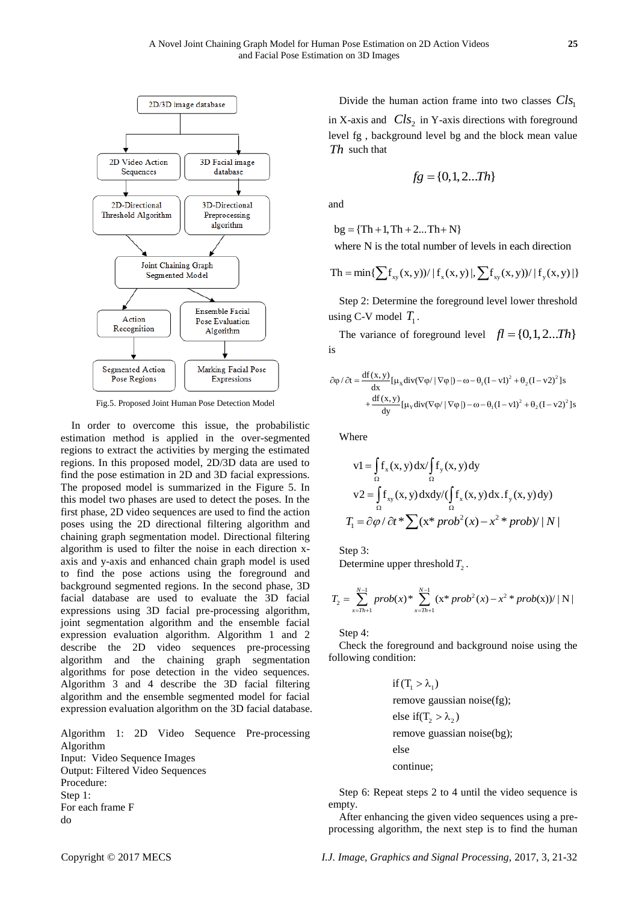

Fig.5. Proposed Joint Human Pose Detection Model

In order to overcome this issue, the probabilistic estimation method is applied in the over-segmented regions to extract the activities by merging the estimated regions. In this proposed model, 2D/3D data are used to find the pose estimation in 2D and 3D facial expressions. The proposed model is summarized in the Figure 5. In this model two phases are used to detect the poses. In the first phase, 2D video sequences are used to find the action poses using the 2D directional filtering algorithm and chaining graph segmentation model. Directional filtering algorithm is used to filter the noise in each direction xaxis and y-axis and enhanced chain graph model is used to find the pose actions using the foreground and background segmented regions. In the second phase, 3D facial database are used to evaluate the 3D facial expressions using 3D facial pre-processing algorithm, joint segmentation algorithm and the ensemble facial expression evaluation algorithm. Algorithm 1 and 2 describe the 2D video sequences pre-processing algorithm and the chaining graph segmentation algorithms for pose detection in the video sequences. Algorithm 3 and 4 describe the 3D facial filtering algorithm and the ensemble segmented model for facial expression evaluation algorithm on the 3D facial database.

Algorithm 1: 2D Video Sequence Pre-processing Algorithm Input: Video Sequence Images Output: Filtered Video Sequences Procedure: Step 1: For each frame F do

Divide the human action frame into two classes  $\text{Cl}_{S_1}$ in X-axis and  $\mathbb{C}l_{S_2}$  in Y-axis directions with foreground level fg , background level bg and the block mean value *Th* such that

$$
fg = \{0, 1, 2...Th\}
$$

and

bg  $= \{Th + 1, Th + 2...Th + N\}$ 

where N is the total number of levels in each direction  
\n
$$
Th = min\{\sum f_{xy}(x, y)) / |f_x(x, y)|, \sum f_{xy}(x, y)) / |f_y(x, y)|\}
$$

Step 2: Determine the foreground level lower threshold using C-V model  $T_1$ .

The variance of foreground level  $fl = \{0, 1, 2... Th\}$ is

$$
\partial \varphi / \partial t = \frac{df(x, y)}{dx} [\mu_x div(\nabla \varphi / |\nabla \varphi|) - \omega - \theta_1 (I - vI)^2 + \theta_2 (I - v2)^2] s
$$
  
+ 
$$
\frac{df(x, y)}{dy} [\mu_y div(\nabla \varphi / |\nabla \varphi|) - \omega - \theta_1 (I - vI)^2 + \theta_2 (I - v2)^2] s
$$

Where

where

\n
$$
v1 = \int_{\Omega} f_x(x, y) \, dx / \int_{\Omega} f_y(x, y) \, dy
$$
\n
$$
v2 = \int_{\Omega} f_{xy}(x, y) \, dx \, dy / (\int_{\Omega} f_x(x, y) \, dx \, . \, f_y(x, y) \, dy)
$$
\n
$$
T_1 = \frac{\partial \varphi}{\partial t} \cdot \sum_{x \in \Omega} (x \cdot \frac{\partial \varphi}{\partial x}) \cdot \frac{\partial \varphi}{\partial x} \cdot \frac{\partial \varphi}{\partial x} \cdot \frac{\partial \varphi}{\partial x} \cdot \frac{\partial \varphi}{\partial x} \cdot \frac{\partial \varphi}{\partial x} \cdot \frac{\partial \varphi}{\partial x} \cdot \frac{\partial \varphi}{\partial x} \cdot \frac{\partial \varphi}{\partial x} \cdot \frac{\partial \varphi}{\partial x} \cdot \frac{\partial \varphi}{\partial x} \cdot \frac{\partial \varphi}{\partial x} \cdot \frac{\partial \varphi}{\partial x} \cdot \frac{\partial \varphi}{\partial x} \cdot \frac{\partial \varphi}{\partial x} \cdot \frac{\partial \varphi}{\partial x} \cdot \frac{\partial \varphi}{\partial x} \cdot \frac{\partial \varphi}{\partial x} \cdot \frac{\partial \varphi}{\partial x} \cdot \frac{\partial \varphi}{\partial x} \cdot \frac{\partial \varphi}{\partial x} \cdot \frac{\partial \varphi}{\partial x} \cdot \frac{\partial \varphi}{\partial x} \cdot \frac{\partial \varphi}{\partial x} \cdot \frac{\partial \varphi}{\partial x} \cdot \frac{\partial \varphi}{\partial x} \cdot \frac{\partial \varphi}{\partial x} \cdot \frac{\partial \varphi}{\partial x} \cdot \frac{\partial \varphi}{\partial x} \cdot \frac{\partial \varphi}{\partial x} \cdot \frac{\partial \varphi}{\partial x} \cdot \frac{\partial \varphi}{\partial x} \cdot \frac{\partial \varphi}{\partial x} \cdot \frac{\partial \varphi}{\partial x} \cdot \frac{\partial \varphi}{\partial x} \cdot \frac{\partial \varphi}{\partial x} \cdot \frac{\partial \varphi}{\partial x} \cdot \frac{\partial \varphi}{\partial x} \cdot \frac{\partial \varphi}{\partial x} \cdot \frac{\partial \varphi}{\partial x} \cdot \frac{\partial \varphi}{\partial x} \cdot \frac{\partial \varphi}{\partial x} \cdot \frac{\partial \varphi}{\partial x} \cdot \frac{\partial \varphi}{\partial x}
$$

Step 3:

Determine upper threshold 
$$
T_2
$$
.  
\n
$$
T_2 = \sum_{x=Th+1}^{N-1} prob(x) * \sum_{x=Th+1}^{N-1} (x * prob^2(x) - x^2 * prob(x)) / |N|
$$

Step 4:

Check the foreground and background noise using the following condition:

if 
$$
(T_1 > \lambda_1)
$$
  
remove gaussian noise(fg);  
else if  $(T_2 > \lambda_2)$   
remove gaussian noise(bg);  
else  
continue;

Step 6: Repeat steps 2 to 4 until the video sequence is empty.

After enhancing the given video sequences using a preprocessing algorithm, the next step is to find the human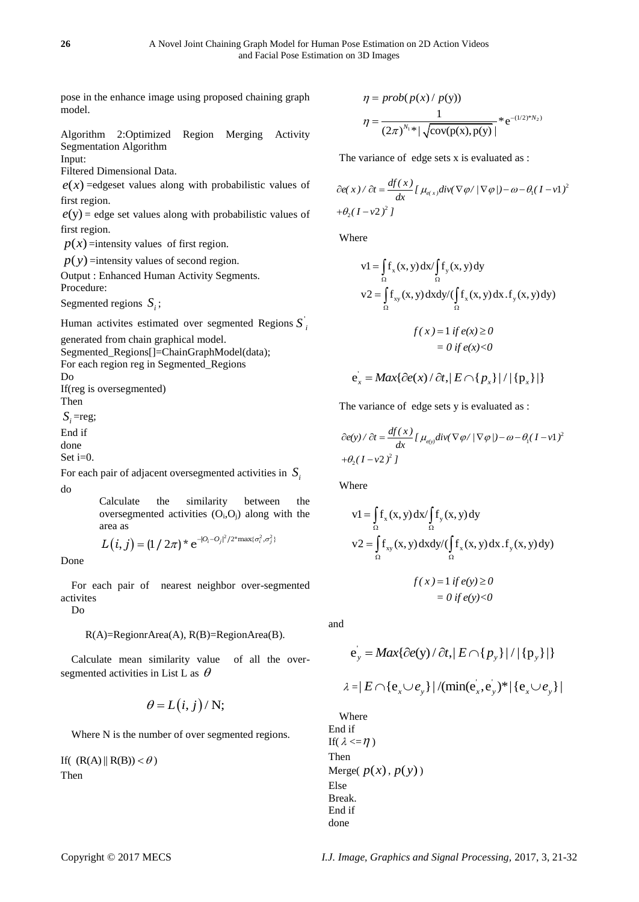pose in the enhance image using proposed chaining graph model.

Algorithm 2:Optimized Region Merging Activity Segmentation Algorithm Input:

Filtered Dimensional Data.

 $e(x)$  =edgeset values along with probabilistic values of first region.

 $e(y)$  = edge set values along with probabilistic values of first region.

 $p(x)$ =intensity values of first region.

 $p(y)$  =intensity values of second region.

Output : Enhanced Human Activity Segments. Procedure:

Segmented regions  $S_i$ ;

Human activites estimated over segmented Regions S<sup>'</sup><sub>*i*</sub>

generated from chain graphical model.

 Segmented\_Regions[]=ChainGraphModel(data); For each region reg in Segmented\_Regions Do If(reg is oversegmented) Then  $S_i$ =reg; End if done Set i=0.

For each pair of adjacent oversegmented activities in  $S_i$ do

> Calculate the similarity between the oversegmented activities  $(O_i, O_j)$  along with the area as area as  $L(i, j) = (1 / 2\pi)^* e^{-|O_i-O_j|^2/2^* \max\{\sigma_i^2, \sigma_j^2\}}$

Done

For each pair of nearest neighbor over-segmented activites

Do

R(A)=RegionrArea(A), R(B)=RegionArea(B).

Calculate mean similarity value of all the oversegmented activities in List L as  $\theta$ 

$$
\theta = L(i, j) / N;
$$

Where N is the number of over segmented regions.

If(  $(R(A) \parallel R(B)) < \theta$ ) Then

$$
\eta = prob(p(x) / p(y))
$$

$$
\eta = \frac{1}{(2\pi)^{N_1 *} |\sqrt{cov(p(x), p(y))}} * e^{-(1/2)^* N_2}
$$

The variance of edge sets x is evaluated as :

$$
\frac{\partial e(x)}{\partial t} = \frac{df(x)}{dx} \left[ \mu_{e(x)} \frac{div(\nabla \phi)}{|\nabla \phi|} - \omega - \theta_1 (I - vI)^2 \right]
$$

$$
+ \theta_2 (I - v2)^2 I
$$

Where

$$
v1 = \int_{\Omega} f_x(x, y) dx / \int_{\Omega} f_y(x, y) dy
$$
  

$$
v2 = \int_{\Omega} f_{xy}(x, y) dx dy / (\int_{\Omega} f_x(x, y) dx . f_y(x, y) dy)
$$
  

$$
f(x) = 1 if e(x) \ge 0
$$
  

$$
= 0 if e(x) < 0
$$

$$
e_x = Max\{\partial e(x) / \partial t, |E \cap \{p_x\}| / |\{p_x\}|\}
$$

The variance of edge sets y is evaluated as :

$$
\frac{\partial e(y)}{\partial t} = \frac{df(x)}{dx} \left[ \mu_{e(y)} \frac{div(\nabla \varphi)}{\nabla \varphi} - \omega - \theta_1 (I - vI)^2 \right]
$$

$$
+ \theta_2 (I - v2)^2 \left[ \frac{d}{dt} \right]
$$

Where

$$
v1 = \int_{\Omega} f_x(x, y) dx / \int_{\Omega} f_y(x, y) dy
$$
  
\n
$$
v2 = \int_{\Omega} f_{xy}(x, y) dx dy / (\int_{\Omega} f_x(x, y) dx . f_y(x, y) dy)
$$
  
\n
$$
f(x) = 1 if e(y) \ge 0
$$
  
\n
$$
= 0 if e(y) < 0
$$

and

$$
e_y = Max\{\partial e(y) / \partial t, |E \cap \{p_y\}| / |\{p_y\}|\}
$$
  

$$
2 - |E \cap \{e \cup e\}| / (\text{min}(e - e)) * |\{e \cup e\}|
$$

$$
\lambda = |E \cap \{e_x \cup e_y\}| / (\min(e_x, e_y)^* | \{e_x \cup e_y\}|)
$$

Where End if If(  $\lambda \leq \eta$  ) Then Merge $(p(x), p(y))$ Else Break. End if done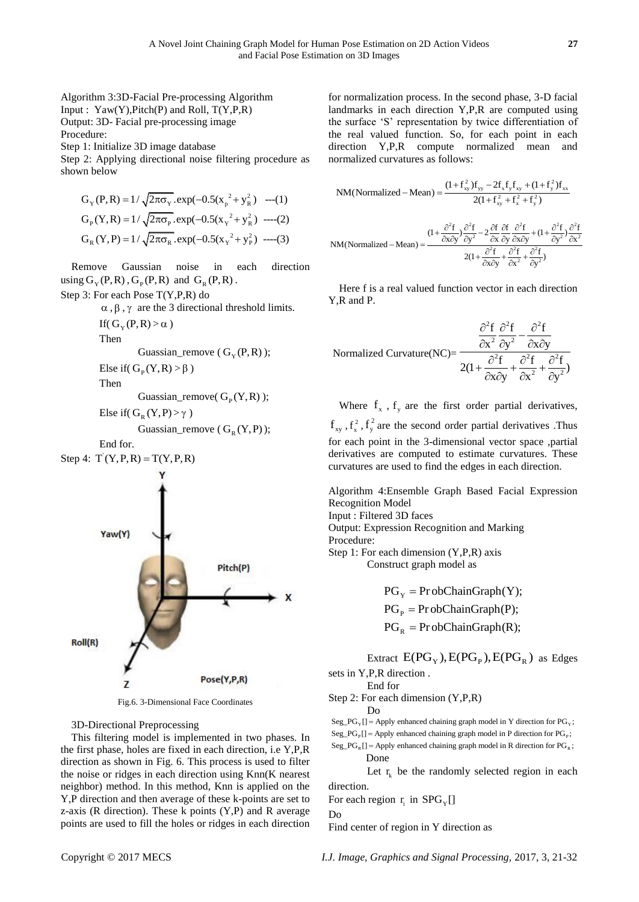Algorithm 3:3D-Facial Pre-processing Algorithm Input :  $Yaw(Y), Pitch(P)$  and Roll,  $T(Y, P, R)$ Output: 3D- Facial pre-processing image Procedure:

Step 1: Initialize 3D image database

Step 2: Applying directional noise filtering procedure as shown below

$$
G_{Y}(P, R) = 1/\sqrt{2\pi\sigma_{Y}}.\exp(-0.5(x_{p}^{2} + y_{R}^{2}) \quad ---(1)
$$
  
\n
$$
G_{P}(Y, R) = 1/\sqrt{2\pi\sigma_{P}}.\exp(-0.5(x_{Y}^{2} + y_{R}^{2}) \quad ---(2)
$$
  
\n
$$
G_{R}(Y, P) = 1/\sqrt{2\pi\sigma_{R}}.\exp(-0.5(x_{Y}^{2} + y_{P}^{2}) \quad ---(3)
$$

Remove Gaussian noise in each direction using  $G_Y(P, R)$ ,  $G_P(P, R)$  and  $G_R(P, R)$ .

Step 3: For each Pose T(Y,P,R) do

 $\alpha$ ,  $\beta$ ,  $\gamma$  are the 3 directional threshold limits.

If( $G_Y(P,R) > \alpha$ )

Then

$$
Guassian\_remove ( GY(P,R));
$$

Else if( $G<sub>p</sub>(Y,R) > \beta$ )

Then

Guassian\_remove( $G<sub>p</sub>(Y,R)$ );

Else if( $G_R(Y, P) > \gamma$ )

Guassian\_remove  $(G_R(Y, P));$ 

End for.





Fig.6. 3-Dimensional Face Coordinates

3D-Directional Preprocessing

This filtering model is implemented in two phases. In the first phase, holes are fixed in each direction, i.e Y,P,R direction as shown in Fig. 6. This process is used to filter the noise or ridges in each direction using Knn(K nearest neighbor) method. In this method, Knn is applied on the Y,P direction and then average of these k-points are set to z-axis ( $R$  direction). These  $k$  points  $(Y, P)$  and  $R$  average points are used to fill the holes or ridges in each direction

for normalization process. In the second phase, 3-D facial landmarks in each direction Y,P,R are computed using the surface 'S' representation by twice differentiation of the real valued function. So, for each point in each direction Y,P,R compute normalized mean and normalized curvatures as follows:

$$
NM(Normalized - Mean) = \frac{(1 + f_{xy}^2) f_{yy} - 2f_x f_y f_{xy} + (1 + f_y^2) f_{xx}}{2(1 + f_{xy}^2 + f_x^2 + f_y^2)}
$$
  

$$
NM(Normalized - Mean) = \frac{(1 + \frac{\partial^2 f}{\partial x \partial y}) \frac{\partial^2 f}{\partial y^2} - 2 \frac{\partial f}{\partial x} \frac{\partial f}{\partial y} \frac{\partial^2 f}{\partial x \partial y} + (1 + \frac{\partial^2 f}{\partial y^2}) \frac{\partial^2 f}{\partial x^2}}{2(1 + \frac{\partial^2 f}{\partial x \partial y} + \frac{\partial^2 f}{\partial x^2} + \frac{\partial^2 f}{\partial y^2})}
$$

Here f is a real valued function vector in each direction Y,R and P.

$$
\text{Normalized Curvature}(\text{NC}) = \frac{\frac{\partial^2 f}{\partial x^2} \frac{\partial^2 f}{\partial y^2} - \frac{\partial^2 f}{\partial x \partial y}}{2(1 + \frac{\partial^2 f}{\partial x \partial y} + \frac{\partial^2 f}{\partial x^2} + \frac{\partial^2 f}{\partial y^2})}
$$

Where  $f_x$ ,  $f_y$  are the first order partial derivatives,  $f_{xy}$ ,  $f_{x}^{2}$ ,  $f_{y}^{2}$  are the second order partial derivatives . Thus for each point in the 3-dimensional vector space ,partial derivatives are computed to estimate curvatures. These curvatures are used to find the edges in each direction.

Algorithm 4:Ensemble Graph Based Facial Expression Recognition Model

Input : Filtered 3D faces

Output: Expression Recognition and Marking Procedure:

Step 1: For each dimension (Y,P,R) axis

Construct graph model as

 $PG_Y = ProbChainGraph(Y);$ 

 $PG_{\rm P}$  = Pr obChainGraph(P);

$$
PGR = ProbChainGraph(R);
$$

Extract  $E(PG_Y), E(PG_P), E(PG_R)$  as Edges

sets in Y,P,R direction . End for

Step 2: For each dimension (Y,P,R)

Do

Step 2: For each dimension (Y,P,R)<br>Do<br>Seg\_PG<sub>y</sub>[] = Apply enhanced chaining graph model in Y direction for PG<sub>y</sub>;  $=$ 

 $_{\text{P}}$ [] = Apply emaneted chaining graph model in P direction for PG<sub>p</sub> Seg\_PG<sub>y</sub>[] = Apply enhanced chaining graph model in Y direction for PG<sub>y</sub>;<br>Seg\_PG<sub>p</sub>[] = Apply enhanced chaining graph model in P direction for PG<sub>p</sub>;

Seg\_PG<sub>F</sub>[] = Apply enhanced chaining graph model in Y direction for PG<sub>F</sub>;<br>Seg\_PG<sub>F</sub>[] = Apply enhanced chaining graph model in P direction for PG<sub>F</sub>;<br>Seg\_PG<sub>R</sub>[] = Apply enhanced chaining graph model in R direction for Done

Let  $r_k$  be the randomly selected region in each direction.

For each region  $r_i$  in  $SPG_Y[$ ]

Do

Find center of region in Y direction as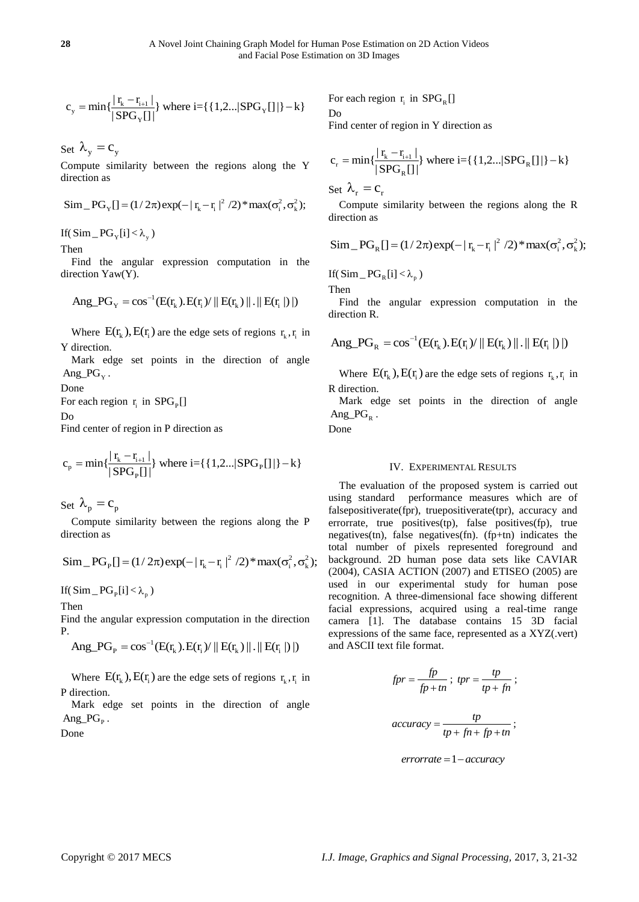$$
c_{y} = min\{\frac{|r_{k} - r_{i+1}|}{|SPG_{Y}[|]}\} where i = \{\{1, 2...\, |SPG_{Y}[|]\} - k\}
$$

Set  $\lambda_{y} = c_{y}$ 

Compute similarity between the regions along the Y direction as

Since 
$$
\tan^{-1}\theta
$$
 as  
\n $\text{Sim }_{\text{P}}[\text{]} = (1/2\pi) \exp(-|\mathbf{r}_{k} - \mathbf{r}_{i}|^{2} / 2) * \max(\sigma_{i}^{2}, \sigma_{k}^{2});$ 

If( $\text{Sim}_{-}\text{PG}_{Y}[i] < \lambda_{y}$ )

Then

Find the angular expression computation in the direction Yaw(Y).

$$
Ang\_PG_Y = cos^{-1}(E(r_k).E(r_i) / || E(r_k) || . || E(r_i ||) ||)
$$

Where  $E(r_k)$ ,  $E(r_i)$  are the edge sets of regions  $r_k$ ,  $r_i$  in Y direction.

Mark edge set points in the direction of angle  $Ang_P G_Y$ .

# Done

For each region  $r_i$  in  $SPG_P[$ ]

# Do

Find center of region in P direction as

$$
c_p = \min\{\frac{|r_k - r_{i+1}|}{|SPG_p[]} \} \text{ where } i = \{\{1, 2...\, |SPG_p[]|\} - k\}
$$

Set  $\lambda_p = c_p$ 

Compute similarity between the regions along the P direction as

$$
\text{Sim}_{P}[\text{J} = (1/2\pi) \exp(-|r_{k} - r_{i}|^{2}/2) * \max(\sigma_{i}^{2}, \sigma_{k}^{2}); \text{ for } \sigma_{i}^{2} \text{, } \sigma_{i}^{2} \text{, } \sigma_{i}^{2} \text{, } \sigma_{i}^{2} \text{, } \sigma_{i}^{2} \text{, } \sigma_{i}^{2} \text{, } \sigma_{i}^{2} \text{, } \sigma_{i}^{2} \text{, } \sigma_{i}^{2} \text{, } \sigma_{i}^{2} \text{, } \sigma_{i}^{2} \text{, } \sigma_{i}^{2} \text{, } \sigma_{i}^{2} \text{, } \sigma_{i}^{2} \text{, } \sigma_{i}^{2} \text{, } \sigma_{i}^{2} \text{, } \sigma_{i}^{2} \text{, } \sigma_{i}^{2} \text{, } \sigma_{i}^{2} \text{, } \sigma_{i}^{2} \text{, } \sigma_{i}^{2} \text{, } \sigma_{i}^{2} \text{, } \sigma_{i}^{2} \text{, } \sigma_{i}^{2} \text{, } \sigma_{i}^{2} \text{, } \sigma_{i}^{2} \text{, } \sigma_{i}^{2} \text{, } \sigma_{i}^{2} \text{, } \sigma_{i}^{2} \text{, } \sigma_{i}^{2} \text{, } \sigma_{i}^{2} \text{, } \sigma_{i}^{2} \text{, } \sigma_{i}^{2} \text{, } \sigma_{i}^{2} \text{, } \sigma_{i}^{2} \text{, } \sigma_{i}^{2} \text{, } \sigma_{i}^{2} \text{, } \sigma_{i}^{2} \text{, } \sigma_{i}^{2} \text{, } \sigma_{i}^{2} \text{, } \sigma_{i}^{2} \text{, } \sigma_{i}^{2} \text{, } \sigma_{i}^{2} \text{, } \sigma_{i}^{2} \text{, } \sigma_{i}^{2} \text{, } \sigma_{i}^{2} \text{, } \sigma_{i}^{2} \text{, } \sigma_{i}^{2} \text{, } \sigma_{i}^{2} \text{, } \sigma_{i}^{2} \text{, } \sigma_{i}^{2} \text{, } \sigma_{i}^{2} \text{, } \sigma_{i}^{2} \text{, } \sigma_{i}^{2}
$$

If( $\text{Sim}_{-}\text{PG}_{p}[i] < \lambda_{p}$ )

Then

Find the angular expression computation in the direction P. Ang\_PG<sub>P</sub> =  $\cos^{-1}(E(r_k).E(r_i) / || E(r_k) || . || E(r_i ||))$ 

$$
Ang_P G_p = \cos^{-1}(E(r_k).E(r_i) / || E(r_k) || . || E(r_i ||)
$$

Where  $E(r_k)$ ,  $E(r_i)$  are the edge sets of regions  $r_k$ ,  $r_i$  in P direction.

Mark edge set points in the direction of angle  $Ang_P G_p$ .

Done

For each region  $r_i$  in  $SPG_R[$ ] Do

Find center of region in Y direction as

$$
c_r = \min\{\frac{|r_k - r_{i+1}|}{|SPG_R|} \} \text{ where } i = \{\{1, 2...|SPG_R| \} | -k\}
$$

Set  $\lambda_r = c_r$ 

Compute similarity between the regions along the R direction as

$$
\text{Sim\_PG}_{R}[] = (1/2\pi) \exp(-|r_{k} - r_{i}|^{2}/2) * \max(\sigma_{i}^{2}, \sigma_{k}^{2});
$$

If( $\text{Sim}_{-}\text{PG}_{R}[i] < \lambda_{p}$ )

Then

Find the angular expression computation in the direction R.

$$
Ang_P G_R = \cos^{-1}(E(r_k).E(r_i)) || E(r_k) ||. || E(r_i ||) ||)
$$

Where  $E(r_k)$ ,  $E(r_i)$  are the edge sets of regions  $r_k$ ,  $r_i$  in R direction.

Mark edge set points in the direction of angle Ang $_PG_R$ .

Done

# IV. EXPERIMENTAL RESULTS

Copyright Properties Are the project of the signal Properties and Signal Project Signal Project Signal Project Signal Project Signal Project Signal Project Signal Project Signal Project Signal Project Signal Project Signa The evaluation of the proposed system is carried out using standard performance measures which are of falsepositiverate(fpr), truepositiverate(tpr), accuracy and errorrate, true positives(tp), false positives(fp), true negatives(tn), false negatives(fn). (fp+tn) indicates the total number of pixels represented foreground and background. 2D human pose data sets like CAVIAR (2004), CASIA ACTION (2007) and ETISEO (2005) are used in our experimental study for human pose recognition. A three-dimensional face showing different facial expressions, acquired using a real-time range camera [1]. The database contains 15 3D facial expressions of the same face, represented as a XYZ(.vert) and ASCII text file format.

$$
fpr = \frac{fp}{fp + tn}; \; tpr = \frac{tp}{tp + fn};
$$

$$
accuracy = \frac{tp}{tp + fn + fp + tn};
$$

$$
error rate = 1 - accuracy
$$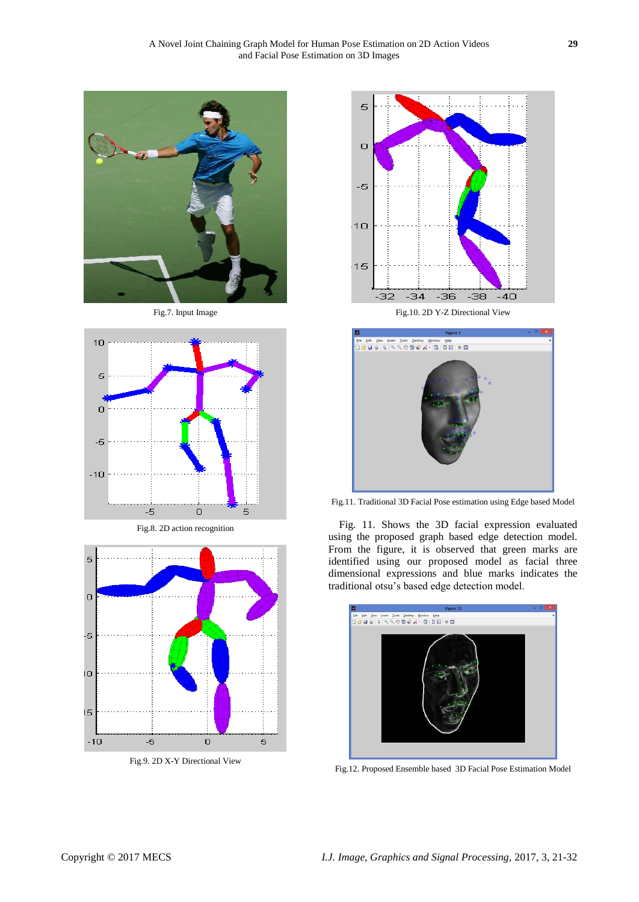

Fig.7. Input Image







Fig.9. 2D X-Y Directional View



Fig.10. 2D Y-Z Directional View



Fig.11. Traditional 3D Facial Pose estimation using Edge based Model

Fig. 11. Shows the 3D facial expression evaluated using the proposed graph based edge detection model. From the figure, it is observed that green marks are identified using our proposed model as facial three dimensional expressions and blue marks indicates the traditional otsu's based edge detection model.



Fig.12. Proposed Ensemble based 3D Facial Pose Estimation Model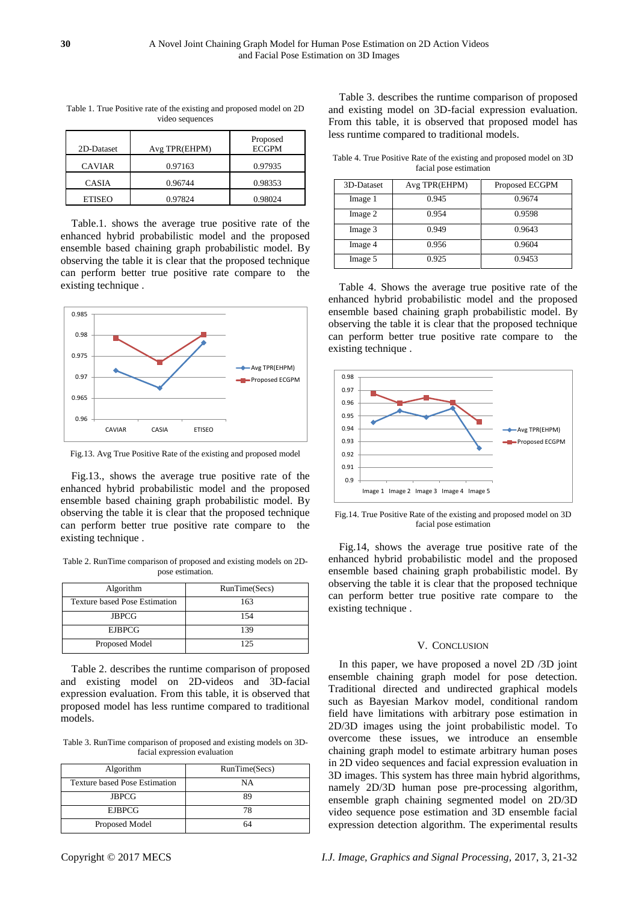| 2D-Dataset    | Avg TPR(EHPM) | Proposed<br><b>ECGPM</b> |
|---------------|---------------|--------------------------|
| <b>CAVIAR</b> | 0.97163       | 0.97935                  |
| <b>CASIA</b>  | 0.96744       | 0.98353                  |
| <b>ETISEO</b> | 0.97824       | 0.98024                  |

Table 1. True Positive rate of the existing and proposed model on 2D video sequences

Table.1. shows the average true positive rate of the enhanced hybrid probabilistic model and the proposed ensemble based chaining graph probabilistic model. By observing the table it is clear that the proposed technique can perform better true positive rate compare to the existing technique .



Fig.13. Avg True Positive Rate of the existing and proposed model

Fig.13., shows the average true positive rate of the enhanced hybrid probabilistic model and the proposed ensemble based chaining graph probabilistic model. By observing the table it is clear that the proposed technique can perform better true positive rate compare to the existing technique .

Table 2. RunTime comparison of proposed and existing models on 2Dpose estimation.

| Algorithm                            | RunTime(Secs) |
|--------------------------------------|---------------|
| <b>Texture based Pose Estimation</b> | 163           |
| <b>JBPCG</b>                         | 154           |
| <b>EJBPCG</b>                        | 139           |
| Proposed Model                       | 125           |

Table 2. describes the runtime comparison of proposed and existing model on 2D-videos and 3D-facial expression evaluation. From this table, it is observed that proposed model has less runtime compared to traditional models.

Table 3. RunTime comparison of proposed and existing models on 3Dfacial expression evaluation

| Algorithm                     | RunTime(Secs) |
|-------------------------------|---------------|
| Texture based Pose Estimation | NΑ            |
| <b>JBPCG</b>                  | gο            |
| <b>EJBPCG</b>                 | 78            |
| Proposed Model                | 64            |

Table 3. describes the runtime comparison of proposed and existing model on 3D-facial expression evaluation. From this table, it is observed that proposed model has less runtime compared to traditional models.

Table 4. True Positive Rate of the existing and proposed model on 3D facial pose estimation

| 3D-Dataset | Avg TPR(EHPM) | Proposed ECGPM |
|------------|---------------|----------------|
| Image 1    | 0.945         | 0.9674         |
| Image 2    | 0.954         | 0.9598         |
| Image 3    | 0.949         | 0.9643         |
| Image 4    | 0.956         | 0.9604         |
| Image 5    | 0.925         | 0.9453         |

Table 4. Shows the average true positive rate of the enhanced hybrid probabilistic model and the proposed ensemble based chaining graph probabilistic model. By observing the table it is clear that the proposed technique can perform better true positive rate compare to the existing technique .



Fig.14. True Positive Rate of the existing and proposed model on 3D facial pose estimation

Fig.14, shows the average true positive rate of the enhanced hybrid probabilistic model and the proposed ensemble based chaining graph probabilistic model. By observing the table it is clear that the proposed technique can perform better true positive rate compare to the existing technique .

# V. CONCLUSION

In this paper, we have proposed a novel 2D /3D joint ensemble chaining graph model for pose detection. Traditional directed and undirected graphical models such as Bayesian Markov model, conditional random field have limitations with arbitrary pose estimation in 2D/3D images using the joint probabilistic model. To overcome these issues, we introduce an ensemble chaining graph model to estimate arbitrary human poses in 2D video sequences and facial expression evaluation in 3D images. This system has three main hybrid algorithms, namely 2D/3D human pose pre-processing algorithm, ensemble graph chaining segmented model on 2D/3D video sequence pose estimation and 3D ensemble facial expression detection algorithm. The experimental results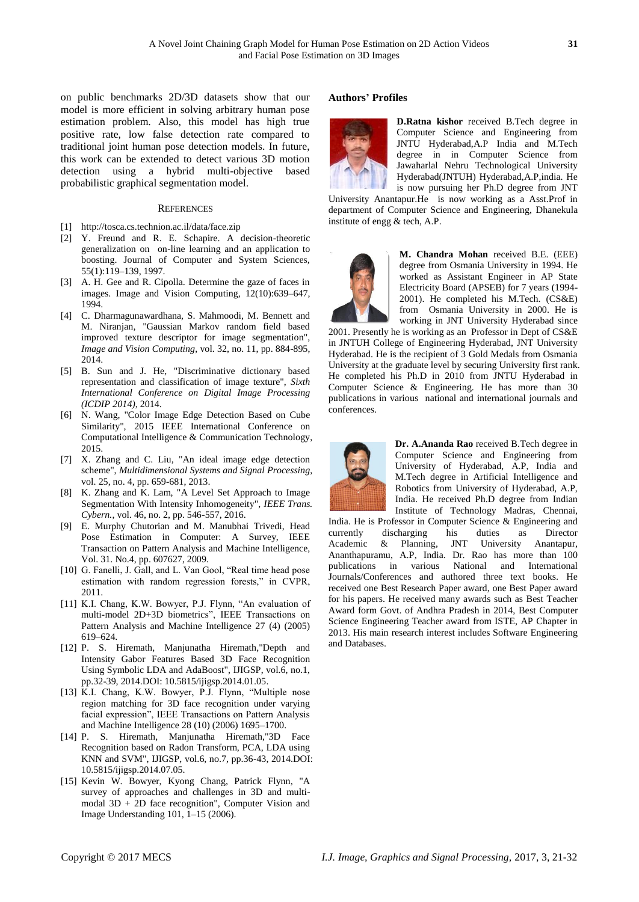on public benchmarks 2D/3D datasets show that our model is more efficient in solving arbitrary human pose estimation problem. Also, this model has high true positive rate, low false detection rate compared to traditional joint human pose detection models. In future, this work can be extended to detect various 3D motion detection using a hybrid multi-objective based probabilistic graphical segmentation model.

## **REFERENCES**

- [1] http://tosca.cs.technion.ac.il/data/face.zip
- [2] Y. Freund and R. E. Schapire. A decision-theoretic generalization on on-line learning and an application to boosting. Journal of Computer and System Sciences, 55(1):119–139, 1997.
- [3] A. H. Gee and R. Cipolla. Determine the gaze of faces in images. Image and Vision Computing, 12(10):639–647, 1994.
- [4] C. Dharmagunawardhana, S. Mahmoodi, M. Bennett and M. Niranjan, "Gaussian Markov random field based improved texture descriptor for image segmentation", *Image and Vision Computing*, vol. 32, no. 11, pp. 884-895, 2014.
- [5] B. Sun and J. He, "Discriminative dictionary based representation and classification of image texture", *Sixth International Conference on Digital Image Processing (ICDIP 2014)*, 2014.
- [6] N. Wang, "Color Image Edge Detection Based on Cube Similarity", 2015 IEEE International Conference on Computational Intelligence & Communication Technology, 2015.
- [7] X. Zhang and C. Liu, "An ideal image edge detection scheme", *Multidimensional Systems and Signal Processing*, vol. 25, no. 4, pp. 659-681, 2013.
- [8] K. Zhang and K. Lam, "A Level Set Approach to Image Segmentation With Intensity Inhomogeneity", *IEEE Trans. Cybern.*, vol. 46, no. 2, pp. 546-557, 2016.
- [9] E. Murphy Chutorian and M. Manubhai Trivedi, Head Pose Estimation in Computer: A Survey, IEEE Transaction on Pattern Analysis and Machine Intelligence, Vol. 31. No.4, pp. 607627, 2009.
- [10] G. Fanelli, J. Gall, and L. Van Gool, "Real time head pose estimation with random regression forests," in CVPR, 2011.
- [11] K.I. Chang, K.W. Bowyer, P.J. Flynn, "An evaluation of multi-model 2D+3D biometrics", IEEE Transactions on Pattern Analysis and Machine Intelligence 27 (4) (2005) 619–624.
- [12] P. S. Hiremath, Manjunatha Hiremath,"Depth and Intensity Gabor Features Based 3D Face Recognition Using Symbolic LDA and AdaBoost", IJIGSP, vol.6, no.1, pp.32-39, 2014.DOI: 10.5815/ijigsp.2014.01.05.
- [13] K.I. Chang, K.W. Bowyer, P.J. Flynn, "Multiple nose region matching for 3D face recognition under varying facial expression", IEEE Transactions on Pattern Analysis and Machine Intelligence 28 (10) (2006) 1695–1700.
- [14] P. S. Hiremath, Manjunatha Hiremath,"3D Face Recognition based on Radon Transform, PCA, LDA using KNN and SVM", IJIGSP, vol.6, no.7, pp.36-43, 2014.DOI: 10.5815/ijigsp.2014.07.05.
- [15] Kevin W. Bowyer, Kyong Chang, Patrick Flynn, "A survey of approaches and challenges in 3D and multimodal 3D + 2D face recognition", Computer Vision and Image Understanding 101, 1–15 (2006).

#### **Authors' Profiles**



**D.Ratna kishor** received B.Tech degree in Computer Science and Engineering from JNTU Hyderabad,A.P India and M.Tech degree in in Computer Science from Jawaharlal Nehru Technological University Hyderabad(JNTUH) Hyderabad,A.P,india. He is now pursuing her Ph.D degree from JNT

University Anantapur.He is now working as a Asst.Prof in department of Computer Science and Engineering, Dhanekula institute of engg & tech, A.P.



**M. Chandra Mohan** received B.E. (EEE) degree from Osmania University in 1994. He worked as Assistant Engineer in AP State Electricity Board (APSEB) for 7 years (1994- 2001). He completed his M.Tech. (CS&E) from Osmania University in 2000. He is working in JNT University Hyderabad since

2001. Presently he is working as an Professor in Dept of CS&E in JNTUH College of Engineering Hyderabad, JNT University Hyderabad. He is the recipient of 3 Gold Medals from Osmania University at the graduate level by securing University first rank. He completed his Ph.D in 2010 from JNTU Hyderabad in Computer Science & Engineering. He has more than 30 publications in various national and international journals and conferences.



**Dr. A.Ananda Rao** received B.Tech degree in Computer Science and Engineering from University of Hyderabad, A.P, India and M.Tech degree in Artificial Intelligence and Robotics from University of Hyderabad, A.P, India. He received Ph.D degree from Indian Institute of Technology Madras, Chennai,

India. He is Professor in Computer Science & Engineering and currently discharging his duties as Director Academic & Planning, JNT University Anantapur, Ananthapuramu, A.P, India. Dr. Rao has more than 100 publications in various National and International Journals/Conferences and authored three text books. He received one Best Research Paper award, one Best Paper award for his papers. He received many awards such as Best Teacher Award form Govt. of Andhra Pradesh in 2014, Best Computer Science Engineering Teacher award from ISTE, AP Chapter in 2013. His main research interest includes Software Engineering and Databases.